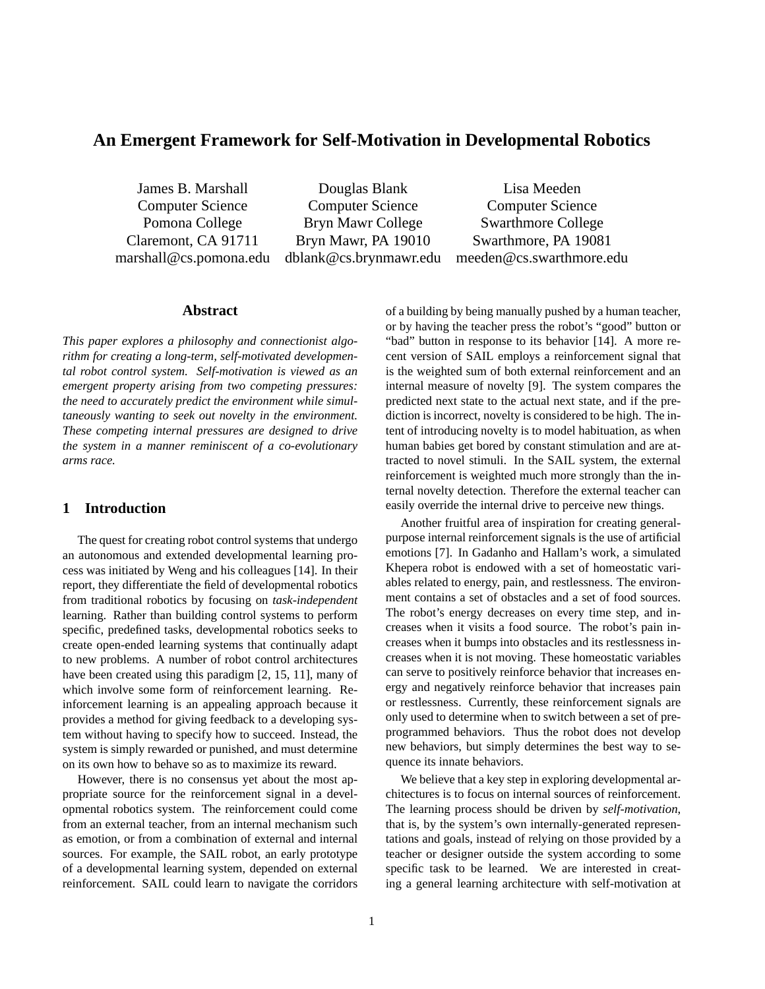# **An Emergent Framework for Self-Motivation in Developmental Robotics**

James B. Marshall Douglas Blank Lisa Meeden Computer Science Computer Science Computer Science Pomona College Bryn Mawr College Swarthmore College Claremont, CA 91711 Bryn Mawr, PA 19010 Swarthmore, PA 19081

marshall@cs.pomona.edu dblank@cs.brynmawr.edu meeden@cs.swarthmore.edu

## **Abstract**

*This paper explores a philosophy and connectionist algorithm for creating a long-term, self-motivated developmental robot control system. Self-motivation is viewed as an emergent property arising from two competing pressures: the need to accurately predict the environment while simultaneously wanting to seek out novelty in the environment. These competing internal pressures are designed to drive the system in a manner reminiscent of a co-evolutionary arms race.*

# **1 Introduction**

The quest for creating robot control systems that undergo an autonomous and extended developmental learning process was initiated by Weng and his colleagues [14]. In their report, they differentiate the field of developmental robotics from traditional robotics by focusing on *task-independent* learning. Rather than building control systems to perform specific, predefined tasks, developmental robotics seeks to create open-ended learning systems that continually adapt to new problems. A number of robot control architectures have been created using this paradigm [2, 15, 11], many of which involve some form of reinforcement learning. Reinforcement learning is an appealing approach because it provides a method for giving feedback to a developing system without having to specify how to succeed. Instead, the system is simply rewarded or punished, and must determine on its own how to behave so as to maximize its reward.

However, there is no consensus yet about the most appropriate source for the reinforcement signal in a developmental robotics system. The reinforcement could come from an external teacher, from an internal mechanism such as emotion, or from a combination of external and internal sources. For example, the SAIL robot, an early prototype of a developmental learning system, depended on external reinforcement. SAIL could learn to navigate the corridors

of a building by being manually pushed by a human teacher, or by having the teacher press the robot's "good" button or "bad" button in response to its behavior [14]. A more recent version of SAIL employs a reinforcement signal that is the weighted sum of both external reinforcement and an internal measure of novelty [9]. The system compares the predicted next state to the actual next state, and if the prediction is incorrect, novelty is considered to be high. The intent of introducing novelty is to model habituation, as when human babies get bored by constant stimulation and are attracted to novel stimuli. In the SAIL system, the external reinforcement is weighted much more strongly than the internal novelty detection. Therefore the external teacher can easily override the internal drive to perceive new things.

Another fruitful area of inspiration for creating generalpurpose internal reinforcement signals is the use of artificial emotions [7]. In Gadanho and Hallam's work, a simulated Khepera robot is endowed with a set of homeostatic variables related to energy, pain, and restlessness. The environment contains a set of obstacles and a set of food sources. The robot's energy decreases on every time step, and increases when it visits a food source. The robot's pain increases when it bumps into obstacles and its restlessness increases when it is not moving. These homeostatic variables can serve to positively reinforce behavior that increases energy and negatively reinforce behavior that increases pain or restlessness. Currently, these reinforcement signals are only used to determine when to switch between a set of preprogrammed behaviors. Thus the robot does not develop new behaviors, but simply determines the best way to sequence its innate behaviors.

We believe that a key step in exploring developmental architectures is to focus on internal sources of reinforcement. The learning process should be driven by *self-motivation*, that is, by the system's own internally-generated representations and goals, instead of relying on those provided by a teacher or designer outside the system according to some specific task to be learned. We are interested in creating a general learning architecture with self-motivation at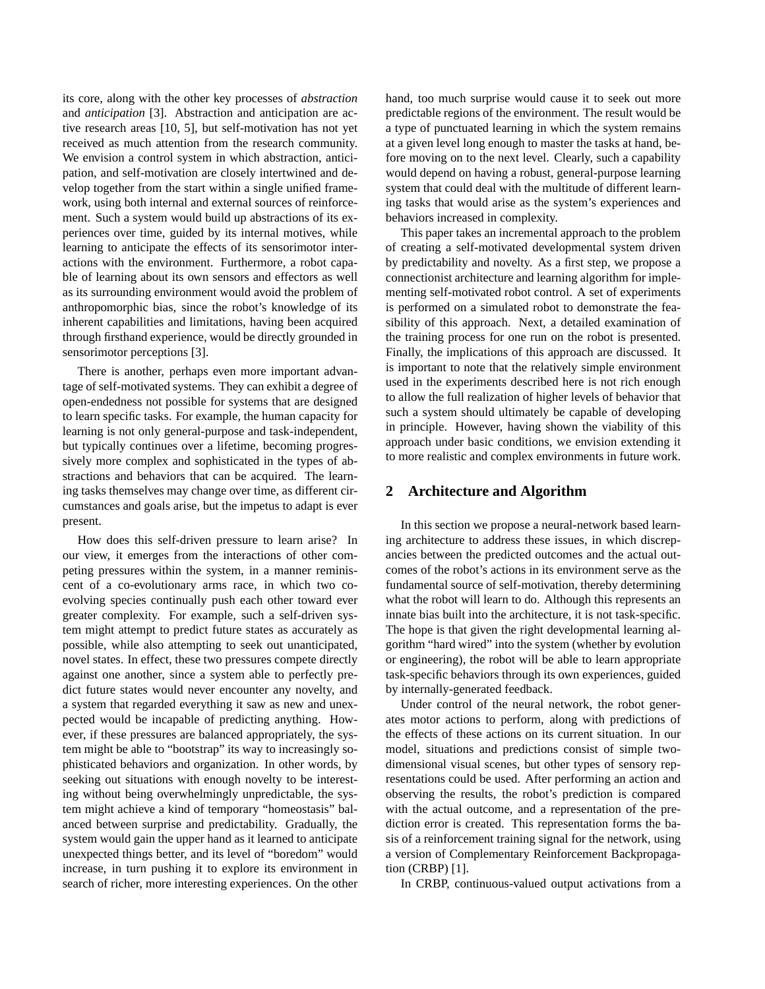its core, along with the other key processes of *abstraction* and *anticipation* [3]. Abstraction and anticipation are active research areas [10, 5], but self-motivation has not yet received as much attention from the research community. We envision a control system in which abstraction, anticipation, and self-motivation are closely intertwined and develop together from the start within a single unified framework, using both internal and external sources of reinforcement. Such a system would build up abstractions of its experiences over time, guided by its internal motives, while learning to anticipate the effects of its sensorimotor interactions with the environment. Furthermore, a robot capable of learning about its own sensors and effectors as well as its surrounding environment would avoid the problem of anthropomorphic bias, since the robot's knowledge of its inherent capabilities and limitations, having been acquired through firsthand experience, would be directly grounded in sensorimotor perceptions [3].

There is another, perhaps even more important advantage of self-motivated systems. They can exhibit a degree of open-endedness not possible for systems that are designed to learn specific tasks. For example, the human capacity for learning is not only general-purpose and task-independent, but typically continues over a lifetime, becoming progressively more complex and sophisticated in the types of abstractions and behaviors that can be acquired. The learning tasks themselves may change over time, as different circumstances and goals arise, but the impetus to adapt is ever present.

How does this self-driven pressure to learn arise? In our view, it emerges from the interactions of other competing pressures within the system, in a manner reminiscent of a co-evolutionary arms race, in which two coevolving species continually push each other toward ever greater complexity. For example, such a self-driven system might attempt to predict future states as accurately as possible, while also attempting to seek out unanticipated, novel states. In effect, these two pressures compete directly against one another, since a system able to perfectly predict future states would never encounter any novelty, and a system that regarded everything it saw as new and unexpected would be incapable of predicting anything. However, if these pressures are balanced appropriately, the system might be able to "bootstrap" its way to increasingly sophisticated behaviors and organization. In other words, by seeking out situations with enough novelty to be interesting without being overwhelmingly unpredictable, the system might achieve a kind of temporary "homeostasis" balanced between surprise and predictability. Gradually, the system would gain the upper hand as it learned to anticipate unexpected things better, and its level of "boredom" would increase, in turn pushing it to explore its environment in search of richer, more interesting experiences. On the other hand, too much surprise would cause it to seek out more predictable regions of the environment. The result would be a type of punctuated learning in which the system remains at a given level long enough to master the tasks at hand, before moving on to the next level. Clearly, such a capability would depend on having a robust, general-purpose learning system that could deal with the multitude of different learning tasks that would arise as the system's experiences and behaviors increased in complexity.

This paper takes an incremental approach to the problem of creating a self-motivated developmental system driven by predictability and novelty. As a first step, we propose a connectionist architecture and learning algorithm for implementing self-motivated robot control. A set of experiments is performed on a simulated robot to demonstrate the feasibility of this approach. Next, a detailed examination of the training process for one run on the robot is presented. Finally, the implications of this approach are discussed. It is important to note that the relatively simple environment used in the experiments described here is not rich enough to allow the full realization of higher levels of behavior that such a system should ultimately be capable of developing in principle. However, having shown the viability of this approach under basic conditions, we envision extending it to more realistic and complex environments in future work.

### **2 Architecture and Algorithm**

In this section we propose a neural-network based learning architecture to address these issues, in which discrepancies between the predicted outcomes and the actual outcomes of the robot's actions in its environment serve as the fundamental source of self-motivation, thereby determining what the robot will learn to do. Although this represents an innate bias built into the architecture, it is not task-specific. The hope is that given the right developmental learning algorithm "hard wired" into the system (whether by evolution or engineering), the robot will be able to learn appropriate task-specific behaviors through its own experiences, guided by internally-generated feedback.

Under control of the neural network, the robot generates motor actions to perform, along with predictions of the effects of these actions on its current situation. In our model, situations and predictions consist of simple twodimensional visual scenes, but other types of sensory representations could be used. After performing an action and observing the results, the robot's prediction is compared with the actual outcome, and a representation of the prediction error is created. This representation forms the basis of a reinforcement training signal for the network, using a version of Complementary Reinforcement Backpropagation (CRBP) [1].

In CRBP, continuous-valued output activations from a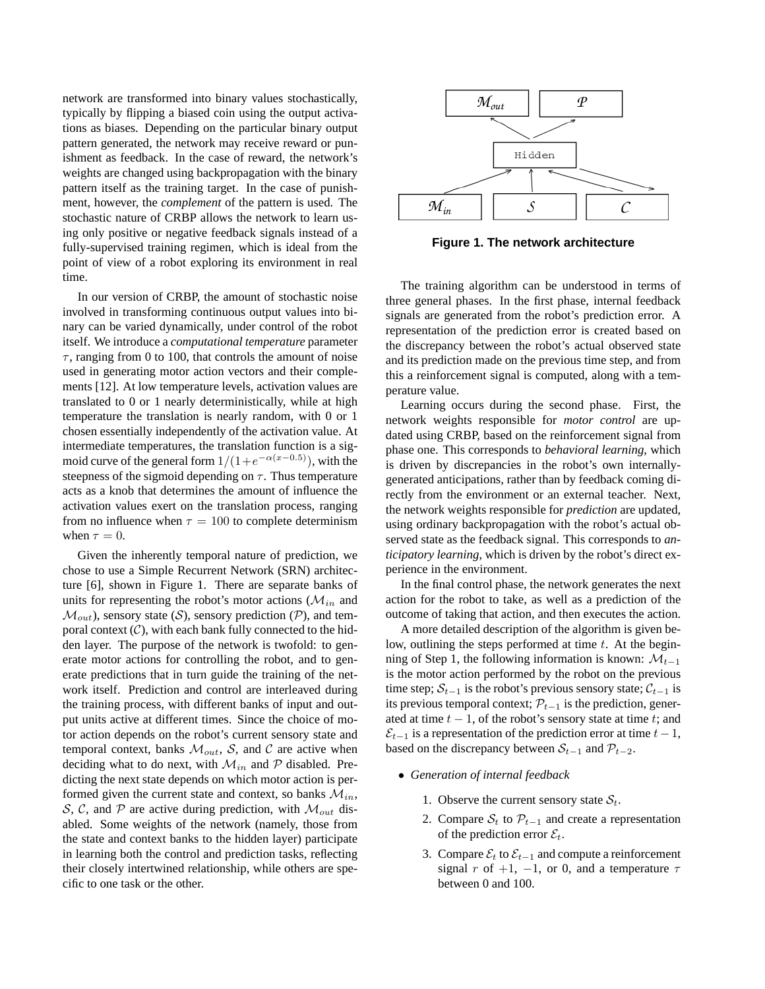network are transformed into binary values stochastically, typically by flipping a biased coin using the output activations as biases. Depending on the particular binary output pattern generated, the network may receive reward or punishment as feedback. In the case of reward, the network's weights are changed using backpropagation with the binary pattern itself as the training target. In the case of punishment, however, the *complement* of the pattern is used. The stochastic nature of CRBP allows the network to learn using only positive or negative feedback signals instead of a fully-supervised training regimen, which is ideal from the point of view of a robot exploring its environment in real time.

In our version of CRBP, the amount of stochastic noise involved in transforming continuous output values into binary can be varied dynamically, under control of the robot itself. We introduce a *computational temperature* parameter  $\tau$ , ranging from 0 to 100, that controls the amount of noise used in generating motor action vectors and their complements [12]. At low temperature levels, activation values are translated to 0 or 1 nearly deterministically, while at high temperature the translation is nearly random, with 0 or 1 chosen essentially independently of the activation value. At intermediate temperatures, the translation function is a sigmoid curve of the general form  $1/(1+e^{-\alpha(x-0.5)})$ , with the steepness of the sigmoid depending on  $\tau$ . Thus temperature acts as a knob that determines the amount of influence the activation values exert on the translation process, ranging from no influence when  $\tau = 100$  to complete determinism when  $\tau = 0$ .

Given the inherently temporal nature of prediction, we chose to use a Simple Recurrent Network (SRN) architecture [6], shown in Figure 1. There are separate banks of units for representing the robot's motor actions ( $\mathcal{M}_{in}$  and  $\mathcal{M}_{out}$ ), sensory state (S), sensory prediction (P), and temporal context  $(C)$ , with each bank fully connected to the hidden layer. The purpose of the network is twofold: to generate motor actions for controlling the robot, and to generate predictions that in turn guide the training of the network itself. Prediction and control are interleaved during the training process, with different banks of input and output units active at different times. Since the choice of motor action depends on the robot's current sensory state and temporal context, banks  $\mathcal{M}_{out}$ , S, and C are active when deciding what to do next, with  $\mathcal{M}_{in}$  and  $\mathcal P$  disabled. Predicting the next state depends on which motor action is performed given the current state and context, so banks  $\mathcal{M}_{in}$ , S, C, and P are active during prediction, with  $\mathcal{M}_{out}$  disabled. Some weights of the network (namely, those from the state and context banks to the hidden layer) participate in learning both the control and prediction tasks, reflecting their closely intertwined relationship, while others are specific to one task or the other.



**Figure 1. The network architecture**

The training algorithm can be understood in terms of three general phases. In the first phase, internal feedback signals are generated from the robot's prediction error. A representation of the prediction error is created based on the discrepancy between the robot's actual observed state and its prediction made on the previous time step, and from this a reinforcement signal is computed, along with a temperature value.

Learning occurs during the second phase. First, the network weights responsible for *motor control* are updated using CRBP, based on the reinforcement signal from phase one. This corresponds to *behavioral learning*, which is driven by discrepancies in the robot's own internallygenerated anticipations, rather than by feedback coming directly from the environment or an external teacher. Next, the network weights responsible for *prediction* are updated, using ordinary backpropagation with the robot's actual observed state as the feedback signal. This corresponds to *anticipatory learning*, which is driven by the robot's direct experience in the environment.

In the final control phase, the network generates the next action for the robot to take, as well as a prediction of the outcome of taking that action, and then executes the action.

A more detailed description of the algorithm is given below, outlining the steps performed at time  $t$ . At the beginning of Step 1, the following information is known:  $\mathcal{M}_{t-1}$ is the motor action performed by the robot on the previous time step;  $S_{t-1}$  is the robot's previous sensory state;  $C_{t-1}$  is its previous temporal context;  $\mathcal{P}_{t-1}$  is the prediction, generated at time  $t - 1$ , of the robot's sensory state at time t; and  $\mathcal{E}_{t-1}$  is a representation of the prediction error at time  $t-1$ , based on the discrepancy between  $S_{t-1}$  and  $\mathcal{P}_{t-2}$ .

- *Generation of internal feedback*
	- 1. Observe the current sensory state  $S_t$ .
	- 2. Compare  $S_t$  to  $\mathcal{P}_{t-1}$  and create a representation of the prediction error  $\mathcal{E}_t$ .
	- 3. Compare  $\mathcal{E}_t$  to  $\mathcal{E}_{t-1}$  and compute a reinforcement signal r of +1, -1, or 0, and a temperature  $\tau$ between 0 and 100.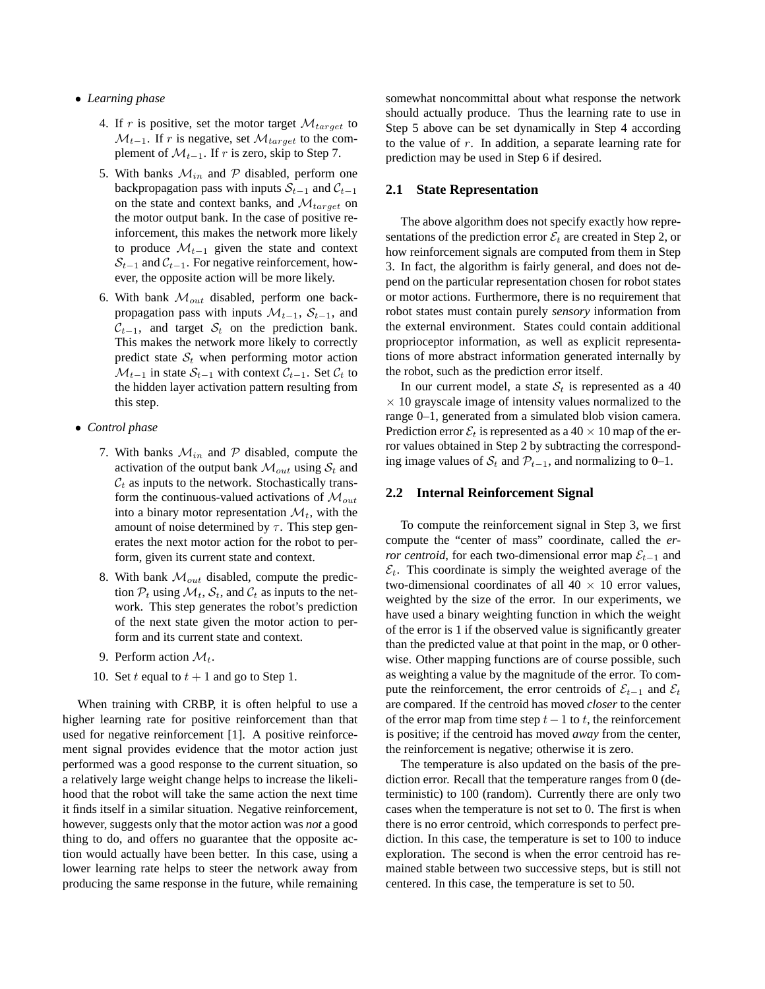#### • *Learning phase*

- 4. If r is positive, set the motor target  $\mathcal{M}_{target}$  to  $\mathcal{M}_{t-1}$ . If r is negative, set  $\mathcal{M}_{target}$  to the complement of  $\mathcal{M}_{t-1}$ . If r is zero, skip to Step 7.
- 5. With banks  $\mathcal{M}_{in}$  and  $\mathcal P$  disabled, perform one backpropagation pass with inputs  $S_{t-1}$  and  $C_{t-1}$ on the state and context banks, and  $\mathcal{M}_{target}$  on the motor output bank. In the case of positive reinforcement, this makes the network more likely to produce  $\mathcal{M}_{t-1}$  given the state and context  $S_{t-1}$  and  $C_{t-1}$ . For negative reinforcement, however, the opposite action will be more likely.
- 6. With bank  $\mathcal{M}_{out}$  disabled, perform one backpropagation pass with inputs  $\mathcal{M}_{t-1}$ ,  $\mathcal{S}_{t-1}$ , and  $C_{t-1}$ , and target  $S_t$  on the prediction bank. This makes the network more likely to correctly predict state  $S_t$  when performing motor action  $\mathcal{M}_{t-1}$  in state  $\mathcal{S}_{t-1}$  with context  $\mathcal{C}_{t-1}$ . Set  $\mathcal{C}_t$  to the hidden layer activation pattern resulting from this step.
- *Control phase*
	- 7. With banks  $\mathcal{M}_{in}$  and  $\mathcal P$  disabled, compute the activation of the output bank  $\mathcal{M}_{out}$  using  $\mathcal{S}_t$  and  $C_t$  as inputs to the network. Stochastically transform the continuous-valued activations of  $\mathcal{M}_{out}$ into a binary motor representation  $\mathcal{M}_t$ , with the amount of noise determined by  $\tau$ . This step generates the next motor action for the robot to perform, given its current state and context.
	- 8. With bank  $\mathcal{M}_{out}$  disabled, compute the prediction  $P_t$  using  $\mathcal{M}_t$ ,  $\mathcal{S}_t$ , and  $\mathcal{C}_t$  as inputs to the network. This step generates the robot's prediction of the next state given the motor action to perform and its current state and context.
	- 9. Perform action  $\mathcal{M}_t$ .
	- 10. Set t equal to  $t + 1$  and go to Step 1.

When training with CRBP, it is often helpful to use a higher learning rate for positive reinforcement than that used for negative reinforcement [1]. A positive reinforcement signal provides evidence that the motor action just performed was a good response to the current situation, so a relatively large weight change helps to increase the likelihood that the robot will take the same action the next time it finds itself in a similar situation. Negative reinforcement, however, suggests only that the motor action was *not* a good thing to do, and offers no guarantee that the opposite action would actually have been better. In this case, using a lower learning rate helps to steer the network away from producing the same response in the future, while remaining somewhat noncommittal about what response the network should actually produce. Thus the learning rate to use in Step 5 above can be set dynamically in Step 4 according to the value of  $r$ . In addition, a separate learning rate for prediction may be used in Step 6 if desired.

#### **2.1 State Representation**

The above algorithm does not specify exactly how representations of the prediction error  $\mathcal{E}_t$  are created in Step 2, or how reinforcement signals are computed from them in Step 3. In fact, the algorithm is fairly general, and does not depend on the particular representation chosen for robot states or motor actions. Furthermore, there is no requirement that robot states must contain purely *sensory* information from the external environment. States could contain additional proprioceptor information, as well as explicit representations of more abstract information generated internally by the robot, such as the prediction error itself.

In our current model, a state  $S_t$  is represented as a 40  $\times$  10 grayscale image of intensity values normalized to the range 0–1, generated from a simulated blob vision camera. Prediction error  $\mathcal{E}_t$  is represented as a 40  $\times$  10 map of the error values obtained in Step 2 by subtracting the corresponding image values of  $S_t$  and  $\mathcal{P}_{t-1}$ , and normalizing to 0–1.

#### **2.2 Internal Reinforcement Signal**

To compute the reinforcement signal in Step 3, we first compute the "center of mass" coordinate, called the *error centroid*, for each two-dimensional error map  $\mathcal{E}_{t-1}$  and  $\mathcal{E}_t$ . This coordinate is simply the weighted average of the two-dimensional coordinates of all  $40 \times 10$  error values, weighted by the size of the error. In our experiments, we have used a binary weighting function in which the weight of the error is 1 if the observed value is significantly greater than the predicted value at that point in the map, or 0 otherwise. Other mapping functions are of course possible, such as weighting a value by the magnitude of the error. To compute the reinforcement, the error centroids of  $\mathcal{E}_{t-1}$  and  $\mathcal{E}_t$ are compared. If the centroid has moved *closer* to the center of the error map from time step  $t-1$  to t, the reinforcement is positive; if the centroid has moved *away* from the center, the reinforcement is negative; otherwise it is zero.

The temperature is also updated on the basis of the prediction error. Recall that the temperature ranges from 0 (deterministic) to 100 (random). Currently there are only two cases when the temperature is not set to 0. The first is when there is no error centroid, which corresponds to perfect prediction. In this case, the temperature is set to 100 to induce exploration. The second is when the error centroid has remained stable between two successive steps, but is still not centered. In this case, the temperature is set to 50.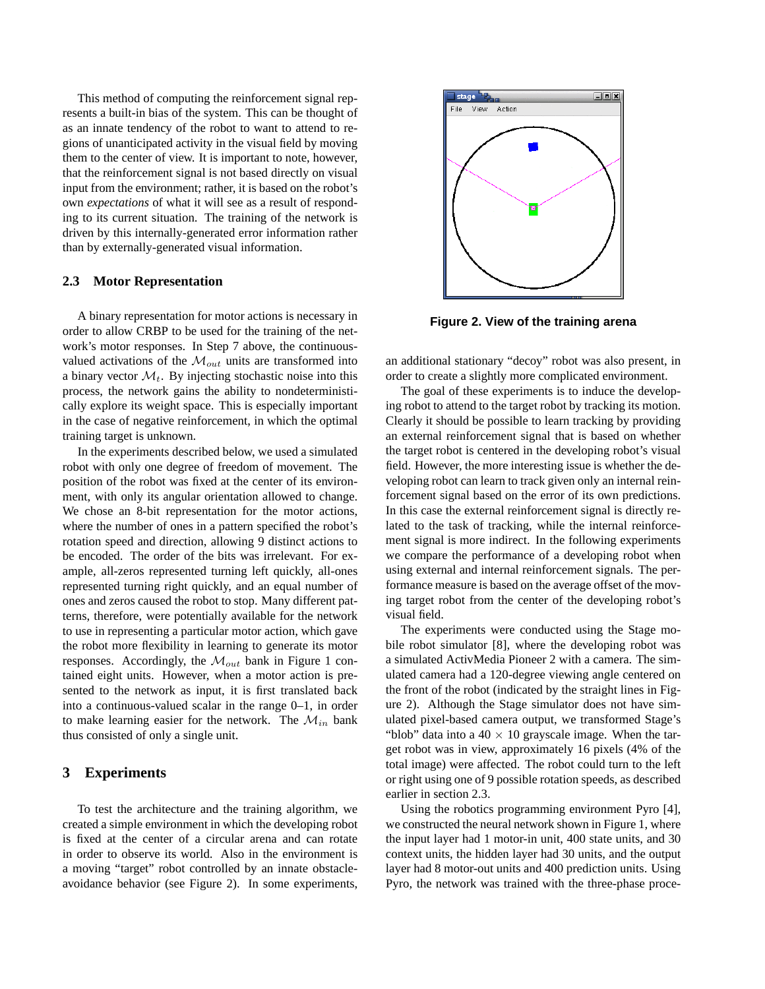This method of computing the reinforcement signal represents a built-in bias of the system. This can be thought of as an innate tendency of the robot to want to attend to regions of unanticipated activity in the visual field by moving them to the center of view. It is important to note, however, that the reinforcement signal is not based directly on visual input from the environment; rather, it is based on the robot's own *expectations* of what it will see as a result of responding to its current situation. The training of the network is driven by this internally-generated error information rather than by externally-generated visual information.

#### **2.3 Motor Representation**

A binary representation for motor actions is necessary in order to allow CRBP to be used for the training of the network's motor responses. In Step 7 above, the continuousvalued activations of the  $\mathcal{M}_{out}$  units are transformed into a binary vector  $\mathcal{M}_t$ . By injecting stochastic noise into this process, the network gains the ability to nondeterministically explore its weight space. This is especially important in the case of negative reinforcement, in which the optimal training target is unknown.

In the experiments described below, we used a simulated robot with only one degree of freedom of movement. The position of the robot was fixed at the center of its environment, with only its angular orientation allowed to change. We chose an 8-bit representation for the motor actions, where the number of ones in a pattern specified the robot's rotation speed and direction, allowing 9 distinct actions to be encoded. The order of the bits was irrelevant. For example, all-zeros represented turning left quickly, all-ones represented turning right quickly, and an equal number of ones and zeros caused the robot to stop. Many different patterns, therefore, were potentially available for the network to use in representing a particular motor action, which gave the robot more flexibility in learning to generate its motor responses. Accordingly, the  $\mathcal{M}_{out}$  bank in Figure 1 contained eight units. However, when a motor action is presented to the network as input, it is first translated back into a continuous-valued scalar in the range 0–1, in order to make learning easier for the network. The  $\mathcal{M}_{in}$  bank thus consisted of only a single unit.

## **3 Experiments**

To test the architecture and the training algorithm, we created a simple environment in which the developing robot is fixed at the center of a circular arena and can rotate in order to observe its world. Also in the environment is a moving "target" robot controlled by an innate obstacleavoidance behavior (see Figure 2). In some experiments,



**Figure 2. View of the training arena**

an additional stationary "decoy" robot was also present, in order to create a slightly more complicated environment.

The goal of these experiments is to induce the developing robot to attend to the target robot by tracking its motion. Clearly it should be possible to learn tracking by providing an external reinforcement signal that is based on whether the target robot is centered in the developing robot's visual field. However, the more interesting issue is whether the developing robot can learn to track given only an internal reinforcement signal based on the error of its own predictions. In this case the external reinforcement signal is directly related to the task of tracking, while the internal reinforcement signal is more indirect. In the following experiments we compare the performance of a developing robot when using external and internal reinforcement signals. The performance measure is based on the average offset of the moving target robot from the center of the developing robot's visual field.

The experiments were conducted using the Stage mobile robot simulator [8], where the developing robot was a simulated ActivMedia Pioneer 2 with a camera. The simulated camera had a 120-degree viewing angle centered on the front of the robot (indicated by the straight lines in Figure 2). Although the Stage simulator does not have simulated pixel-based camera output, we transformed Stage's "blob" data into a  $40 \times 10$  grayscale image. When the target robot was in view, approximately 16 pixels (4% of the total image) were affected. The robot could turn to the left or right using one of 9 possible rotation speeds, as described earlier in section 2.3.

Using the robotics programming environment Pyro [4], we constructed the neural network shown in Figure 1, where the input layer had 1 motor-in unit, 400 state units, and 30 context units, the hidden layer had 30 units, and the output layer had 8 motor-out units and 400 prediction units. Using Pyro, the network was trained with the three-phase proce-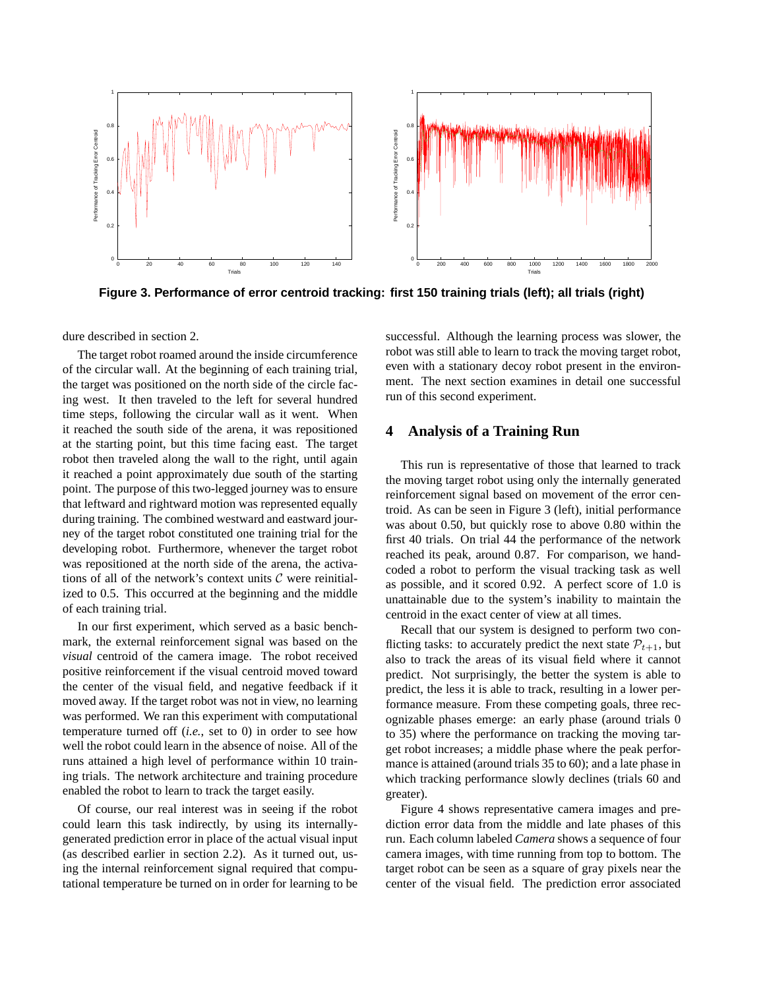

**Figure 3. Performance of error centroid tracking: first 150 training trials (left); all trials (right)**

dure described in section 2.

The target robot roamed around the inside circumference of the circular wall. At the beginning of each training trial, the target was positioned on the north side of the circle facing west. It then traveled to the left for several hundred time steps, following the circular wall as it went. When it reached the south side of the arena, it was repositioned at the starting point, but this time facing east. The target robot then traveled along the wall to the right, until again it reached a point approximately due south of the starting point. The purpose of this two-legged journey was to ensure that leftward and rightward motion was represented equally during training. The combined westward and eastward journey of the target robot constituted one training trial for the developing robot. Furthermore, whenever the target robot was repositioned at the north side of the arena, the activations of all of the network's context units  $C$  were reinitialized to 0.5. This occurred at the beginning and the middle of each training trial.

In our first experiment, which served as a basic benchmark, the external reinforcement signal was based on the *visual* centroid of the camera image. The robot received positive reinforcement if the visual centroid moved toward the center of the visual field, and negative feedback if it moved away. If the target robot was not in view, no learning was performed. We ran this experiment with computational temperature turned off (*i.e.*, set to 0) in order to see how well the robot could learn in the absence of noise. All of the runs attained a high level of performance within 10 training trials. The network architecture and training procedure enabled the robot to learn to track the target easily.

Of course, our real interest was in seeing if the robot could learn this task indirectly, by using its internallygenerated prediction error in place of the actual visual input (as described earlier in section 2.2). As it turned out, using the internal reinforcement signal required that computational temperature be turned on in order for learning to be successful. Although the learning process was slower, the robot was still able to learn to track the moving target robot, even with a stationary decoy robot present in the environment. The next section examines in detail one successful run of this second experiment.

### **4 Analysis of a Training Run**

This run is representative of those that learned to track the moving target robot using only the internally generated reinforcement signal based on movement of the error centroid. As can be seen in Figure 3 (left), initial performance was about 0.50, but quickly rose to above 0.80 within the first 40 trials. On trial 44 the performance of the network reached its peak, around 0.87. For comparison, we handcoded a robot to perform the visual tracking task as well as possible, and it scored 0.92. A perfect score of 1.0 is unattainable due to the system's inability to maintain the centroid in the exact center of view at all times.

Recall that our system is designed to perform two conflicting tasks: to accurately predict the next state  $P_{t+1}$ , but also to track the areas of its visual field where it cannot predict. Not surprisingly, the better the system is able to predict, the less it is able to track, resulting in a lower performance measure. From these competing goals, three recognizable phases emerge: an early phase (around trials 0 to 35) where the performance on tracking the moving target robot increases; a middle phase where the peak performance is attained (around trials 35 to 60); and a late phase in which tracking performance slowly declines (trials 60 and greater).

Figure 4 shows representative camera images and prediction error data from the middle and late phases of this run. Each column labeled *Camera* shows a sequence of four camera images, with time running from top to bottom. The target robot can be seen as a square of gray pixels near the center of the visual field. The prediction error associated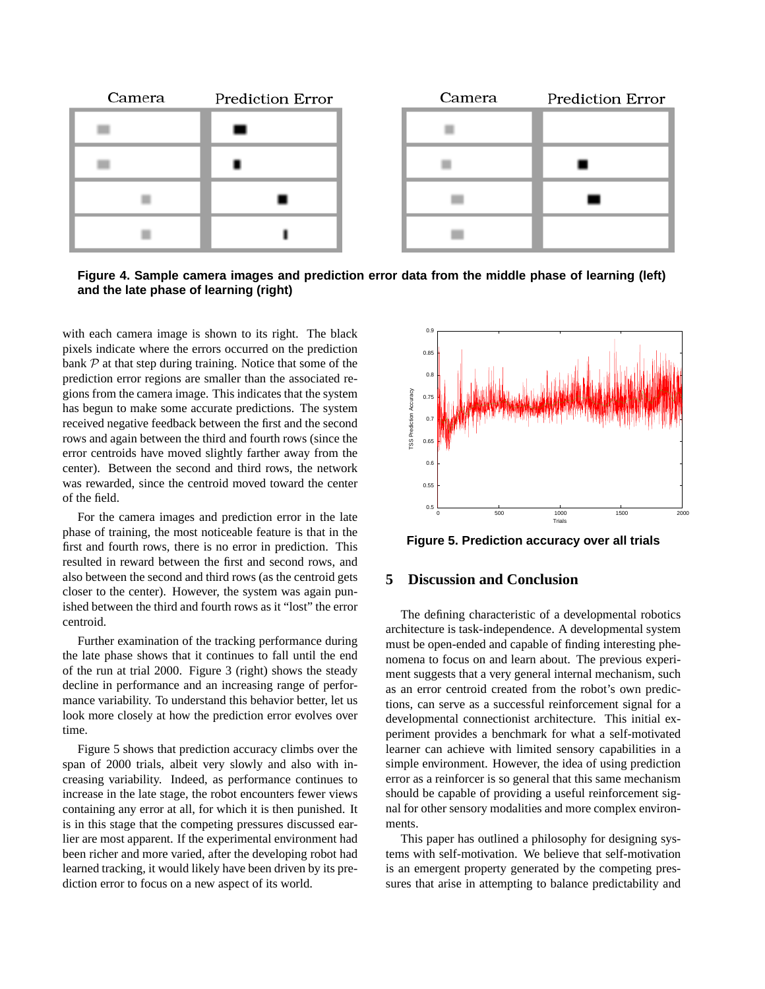

**Figure 4. Sample camera images and prediction error data from the middle phase of learning (left) and the late phase of learning (right)**

with each camera image is shown to its right. The black pixels indicate where the errors occurred on the prediction bank  $P$  at that step during training. Notice that some of the prediction error regions are smaller than the associated regions from the camera image. This indicates that the system has begun to make some accurate predictions. The system received negative feedback between the first and the second rows and again between the third and fourth rows (since the error centroids have moved slightly farther away from the center). Between the second and third rows, the network was rewarded, since the centroid moved toward the center of the field.

For the camera images and prediction error in the late phase of training, the most noticeable feature is that in the first and fourth rows, there is no error in prediction. This resulted in reward between the first and second rows, and also between the second and third rows (as the centroid gets closer to the center). However, the system was again punished between the third and fourth rows as it "lost" the error centroid.

Further examination of the tracking performance during the late phase shows that it continues to fall until the end of the run at trial 2000. Figure 3 (right) shows the steady decline in performance and an increasing range of performance variability. To understand this behavior better, let us look more closely at how the prediction error evolves over time.

Figure 5 shows that prediction accuracy climbs over the span of 2000 trials, albeit very slowly and also with increasing variability. Indeed, as performance continues to increase in the late stage, the robot encounters fewer views containing any error at all, for which it is then punished. It is in this stage that the competing pressures discussed earlier are most apparent. If the experimental environment had been richer and more varied, after the developing robot had learned tracking, it would likely have been driven by its prediction error to focus on a new aspect of its world.



**Figure 5. Prediction accuracy over all trials**

# **5 Discussion and Conclusion**

The defining characteristic of a developmental robotics architecture is task-independence. A developmental system must be open-ended and capable of finding interesting phenomena to focus on and learn about. The previous experiment suggests that a very general internal mechanism, such as an error centroid created from the robot's own predictions, can serve as a successful reinforcement signal for a developmental connectionist architecture. This initial experiment provides a benchmark for what a self-motivated learner can achieve with limited sensory capabilities in a simple environment. However, the idea of using prediction error as a reinforcer is so general that this same mechanism should be capable of providing a useful reinforcement signal for other sensory modalities and more complex environments.

This paper has outlined a philosophy for designing systems with self-motivation. We believe that self-motivation is an emergent property generated by the competing pressures that arise in attempting to balance predictability and